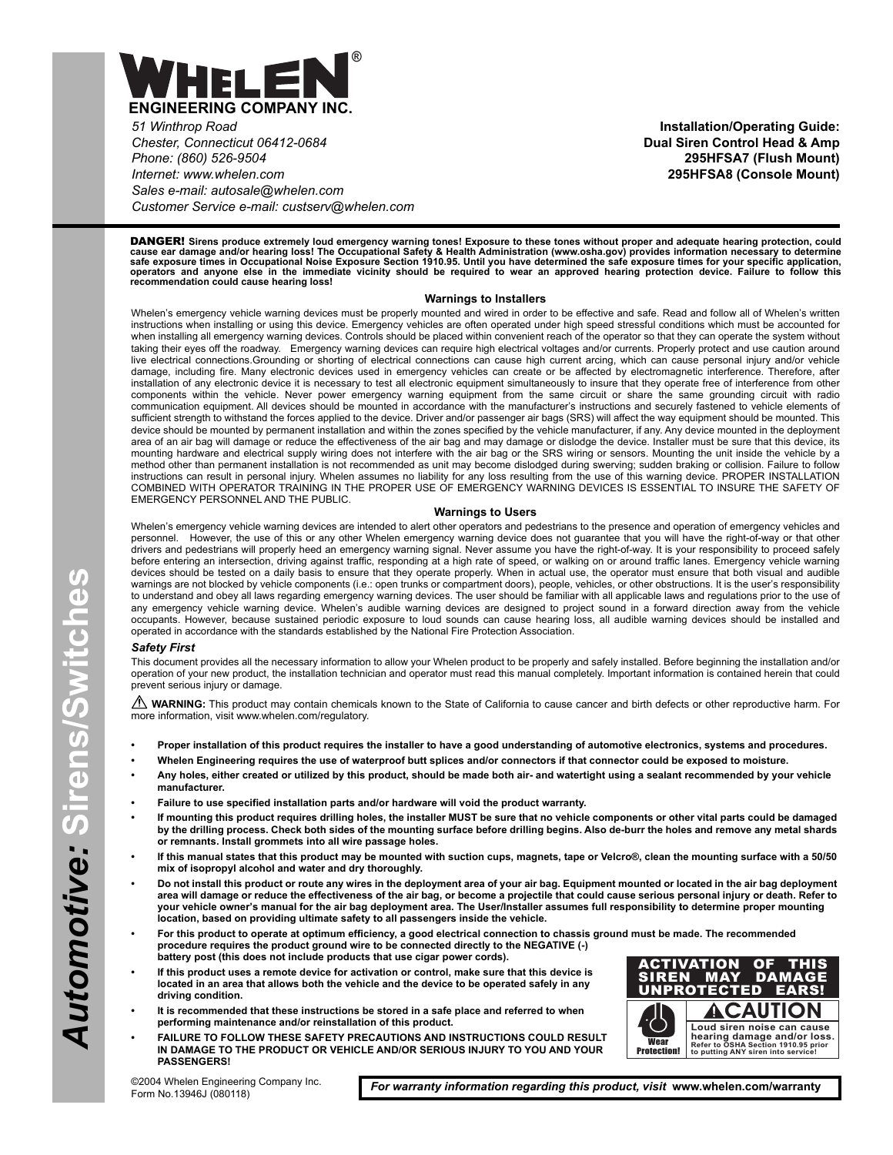

*51 Winthrop Road Chester, Connecticut 06412-0684 Phone: (860) 526-9504 Internet: www.whelen.com Sales e-mail: autosale@whelen.com Customer Service e-mail: custserv@whelen.com*

**Installation/Operating Guide: Dual Siren Control Head & Amp 295HFSA7 (Flush Mount) 295HFSA8 (Console Mount)**

DANGER! **Sirens produce extremely loud emergency warning tones! Exposure to these tones without proper and adequate hearing protection, could** cause ear damage and/or hearing loss! The Occupational Safety & Health Administration (www.osha.gov) provides information necessary to determine<br>safe exposure times in Occupational Noise Exposure Section 1910.95. Until you

#### **Warnings to Installers**

Whelen's emergency vehicle warning devices must be properly mounted and wired in order to be effective and safe. Read and follow all of Whelen's written instructions when installing or using this device. Emergency vehicles are often operated under high speed stressful conditions which must be accounted for when installing all emergency warning devices. Controls should be placed within convenient reach of the operator so that they can operate the system without taking their eyes off the roadway. Emergency warning devices can require high electrical voltages and/or currents. Properly protect and use caution around live electrical connections.Grounding or shorting of electrical connections can cause high current arcing, which can cause personal injury and/or vehicle damage, including fire. Many electronic devices used in emergency vehicles can create or be affected by electromagnetic interference. Therefore, after installation of any electronic device it is necessary to test all electronic equipment simultaneously to insure that they operate free of interference from other components within the vehicle. Never power emergency warning equipment from the same circuit or share the same grounding circuit with radio communication equipment. All devices should be mounted in accordance with the manufacturer's instructions and securely fastened to vehicle elements of sufficient strength to withstand the forces applied to the device. Driver and/or passenger air bags (SRS) will affect the way equipment should be mounted. This device should be mounted by permanent installation and within the zones specified by the vehicle manufacturer, if any. Any device mounted in the deployment area of an air bag will damage or reduce the effectiveness of the air bag and may damage or dislodge the device. Installer must be sure that this device, its mounting hardware and electrical supply wiring does not interfere with the air bag or the SRS wiring or sensors. Mounting the unit inside the vehicle by a method other than permanent installation is not recommended as unit may become dislodged during swerving; sudden braking or collision. Failure to follow instructions can result in personal injury. Whelen assumes no liability for any loss resulting from the use of this warning device. PROPER INSTALLATION COMBINED WITH OPERATOR TRAINING IN THE PROPER USE OF EMERGENCY WARNING DEVICES IS ESSENTIAL TO INSURE THE SAFETY OF EMERGENCY PERSONNEL AND THE PUBLIC.

#### **Warnings to Users**

Whelen's emergency vehicle warning devices are intended to alert other operators and pedestrians to the presence and operation of emergency vehicles and<br>personnel. However, the use of this or any other Whelen emergency war However, the use of this or any other Whelen emergency warning device does not guarantee that you will have the right-of-way or that other drivers and pedestrians will properly heed an emergency warning signal. Never assume you have the right-of-way. It is your responsibility to proceed safely before entering an intersection, driving against traffic, responding at a high rate of speed, or walking on or around traffic lanes. Emergency vehicle warning devices should be tested on a daily basis to ensure that they operate properly. When in actual use, the operator must ensure that both visual and audible warnings are not blocked by vehicle components (i.e.: open trunks or compartment doors), people, vehicles, or other obstructions. It is the user's responsibility to understand and obey all laws regarding emergency warning devices. The user should be familiar with all applicable laws and regulations prior to the use of any emergency vehicle warning device. Whelen's audible warning devices are designed to project sound in a forward direction away from the vehicle occupants. However, because sustained periodic exposure to loud sounds can cause hearing loss, all audible warning devices should be installed and operated in accordance with the standards established by the National Fire Protection Association.

#### *Safety First*

This document provides all the necessary information to allow your Whelen product to be properly and safely installed. Before beginning the installation and/or operation of your new product, the installation technician and operator must read this manual completely. Important information is contained herein that could prevent serious injury or damage.

**A WARNING:** This product may contain chemicals known to the State of California to cause cancer and birth defects or other reproductive harm. For more information, visit www.whelen.com/regulatory.

- **Proper installation of this product requires the installer to have a good understanding of automotive electronics, systems and procedures.**
- **Whelen Engineering requires the use of waterproof butt splices and/or connectors if that connector could be exposed to moisture.**
- **Any holes, either created or utilized by this product, should be made both air- and watertight using a sealant recommended by your vehicle manufacturer.**
- **Failure to use specified installation parts and/or hardware will void the product warranty.**
- **If mounting this product requires drilling holes, the installer MUST be sure that no vehicle components or other vital parts could be damaged by the drilling process. Check both sides of the mounting surface before drilling begins. Also de-burr the holes and remove any metal shards or remnants. Install grommets into all wire passage holes.**
- **If this manual states that this product may be mounted with suction cups, magnets, tape or Velcro®, clean the mounting surface with a 50/50 mix of isopropyl alcohol and water and dry thoroughly.**
- **Do not install this product or route any wires in the deployment area of your air bag. Equipment mounted or located in the air bag deployment area will damage or reduce the effectiveness of the air bag, or become a projectile that could cause serious personal injury or death. Refer to your vehicle owner's manual for the air bag deployment area. The User/Installer assumes full responsibility to determine proper mounting location, based on providing ultimate safety to all passengers inside the vehicle.**
- **For this product to operate at optimum efficiency, a good electrical connection to chassis ground must be made. The recommended procedure requires the product ground wire to be connected directly to the NEGATIVE (-) battery post (this does not include products that use cigar power cords).**
- **If this product uses a remote device for activation or control, make sure that this device is located in an area that allows both the vehicle and the device to be operated safely in any driving condition.**
- **It is recommended that these instructions be stored in a safe place and referred to when performing maintenance and/or reinstallation of this product.**
- **FAILURE TO FOLLOW THESE SAFETY PRECAUTIONS AND INSTRUCTIONS COULD RESULT IN DAMAGE TO THE PRODUCT OR VEHICLE AND/OR SERIOUS INJURY TO YOU AND YOUR PASSENGERS!**



©2004 Whelen Engineering Company Inc. Form No.13946J (080118)

*For warranty information regarding this product, visit* **www.whelen.com/warranty**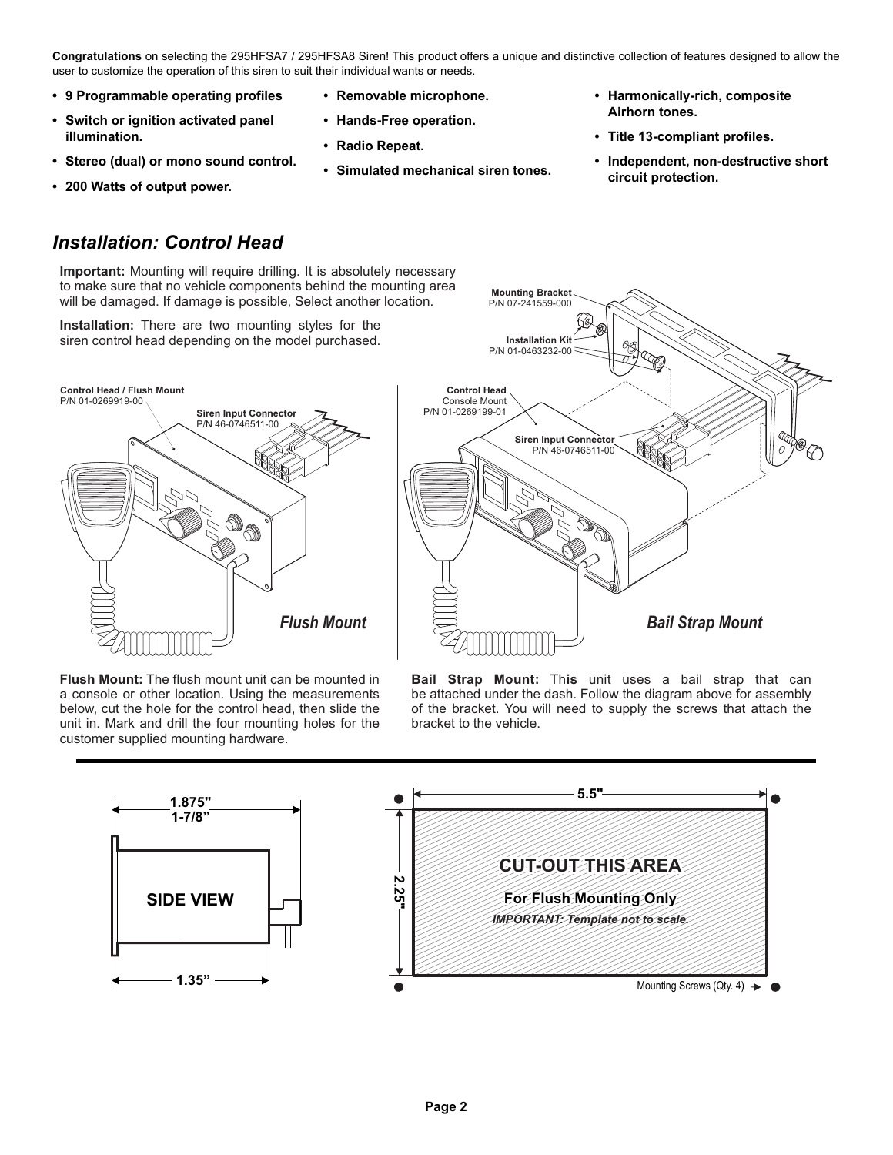**Congratulations** on selecting the 295HFSA7 / 295HFSA8 Siren! This product offers a unique and distinctive collection of features designed to allow the user to customize the operation of this siren to suit their individual wants or needs.

- **9 Programmable operating profiles**
- **Switch or ignition activated panel illumination.**
- **Stereo (dual) or mono sound control.**
- **200 Watts of output power.**
- **Removable microphone.**
- **Hands-Free operation.**
- **Radio Repeat.**
- **Simulated mechanical siren tones.**
- **Harmonically-rich, composite Airhorn tones.**
- **Title 13-compliant profiles.**
- **Independent, non-destructive short circuit protection.**

# *Installation: Control Head*

**Important:** Mounting will require drilling. It is absolutely necessary to make sure that no vehicle components behind the mounting area will be damaged. If damage is possible, Select another location.

**Installation:** There are two mounting styles for the siren control head depending on the model purchased.





**Flush Mount:** The flush mount unit can be mounted in a console or other location. Using the measurements below, cut the hole for the control head, then slide the unit in. Mark and drill the four mounting holes for the customer supplied mounting hardware.

**Bail Strap Mount:** This unit uses a bail strap that can be attached under the dash. Follow the diagram above for assembly of the bracket. You will need to supply the screws that attach the bracket to the vehicle.

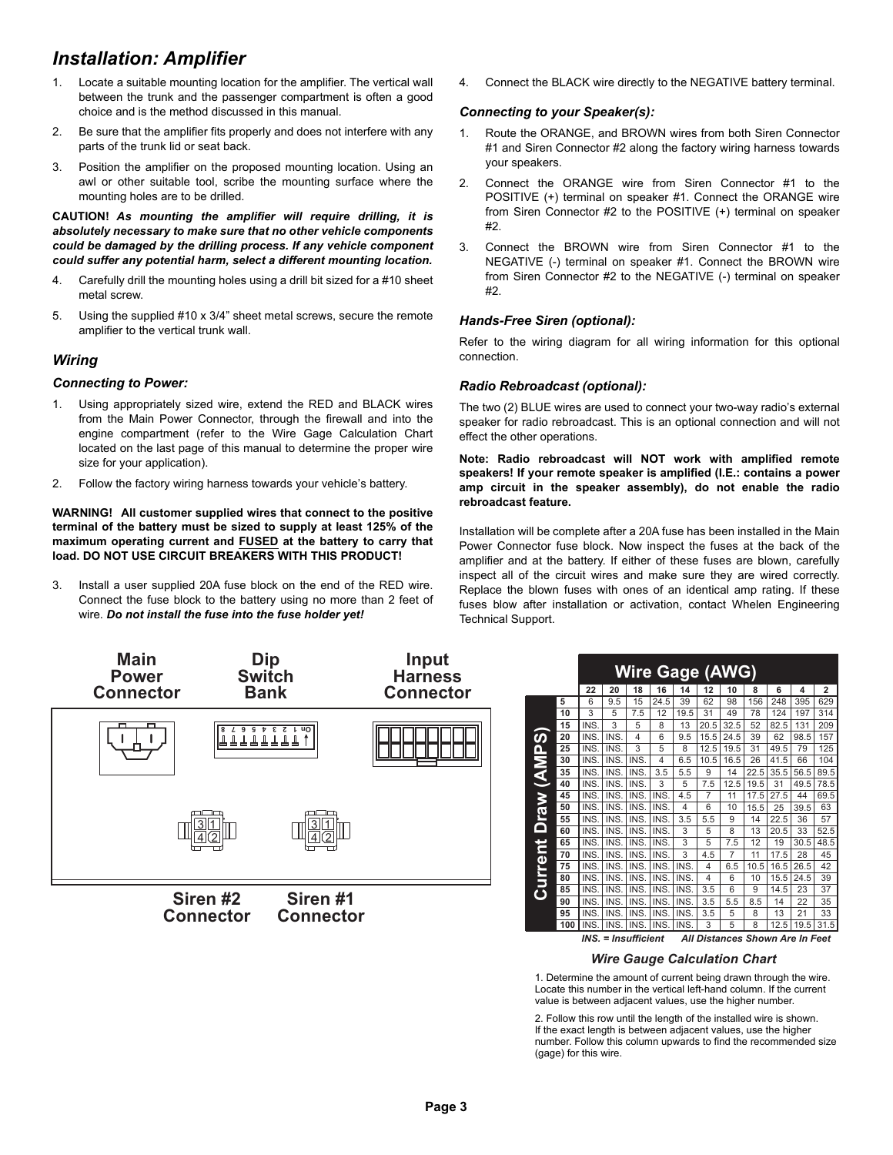# *Installation: Amplifier*

- 1. Locate a suitable mounting location for the amplifier. The vertical wall between the trunk and the passenger compartment is often a good choice and is the method discussed in this manual.
- 2. Be sure that the amplifier fits properly and does not interfere with any parts of the trunk lid or seat back.
- 3. Position the amplifier on the proposed mounting location. Using an awl or other suitable tool, scribe the mounting surface where the mounting holes are to be drilled.

**CAUTION!** *As mounting the amplifier will require drilling, it is absolutely necessary to make sure that no other vehicle components could be damaged by the drilling process. If any vehicle component could suffer any potential harm, select a different mounting location.*

- 4. Carefully drill the mounting holes using a drill bit sized for a #10 sheet metal screw.
- 5. Using the supplied #10 x 3/4" sheet metal screws, secure the remote amplifier to the vertical trunk wall.

# *Wiring*

# *Connecting to Power:*

- 1. Using appropriately sized wire, extend the RED and BLACK wires from the Main Power Connector, through the firewall and into the engine compartment (refer to the Wire Gage Calculation Chart located on the last page of this manual to determine the proper wire size for your application).
- 2. Follow the factory wiring harness towards your vehicle's battery.

**WARNING! All customer supplied wires that connect to the positive terminal of the battery must be sized to supply at least 125% of the maximum operating current and FUSED at the battery to carry that load. DO NOT USE CIRCUIT BREAKERS WITH THIS PRODUCT!**

3. Install a user supplied 20A fuse block on the end of the RED wire. Connect the fuse block to the battery using no more than 2 feet of wire. *Do not install the fuse into the fuse holder yet!*

4. Connect the BLACK wire directly to the NEGATIVE battery terminal.

# *Connecting to your Speaker(s):*

- 1. Route the ORANGE, and BROWN wires from both Siren Connector #1 and Siren Connector #2 along the factory wiring harness towards your speakers.
- 2. Connect the ORANGE wire from Siren Connector #1 to the POSITIVE (+) terminal on speaker #1. Connect the ORANGE wire from Siren Connector #2 to the POSITIVE (+) terminal on speaker #2.
- 3. Connect the BROWN wire from Siren Connector #1 to the NEGATIVE (-) terminal on speaker #1. Connect the BROWN wire from Siren Connector #2 to the NEGATIVE (-) terminal on speaker #2.

# *Hands-Free Siren (optional):*

Refer to the wiring diagram for all wiring information for this optional connection.

# *Radio Rebroadcast (optional):*

The two (2) BLUE wires are used to connect your two-way radio's external speaker for radio rebroadcast. This is an optional connection and will not effect the other operations.

**Note: Radio rebroadcast will NOT work with amplified remote speakers! If your remote speaker is amplified (I.E.: contains a power amp circuit in the speaker assembly), do not enable the radio rebroadcast feature.**

Installation will be complete after a 20A fuse has been installed in the Main Power Connector fuse block. Now inspect the fuses at the back of the amplifier and at the battery. If either of these fuses are blown, carefully inspect all of the circuit wires and make sure they are wired correctly. Replace the blown fuses with ones of an identical amp rating. If these fuses blow after installation or activation, contact Whelen Engineering Technical Support.



|                                                       |     | <b>Wire Gage (AWG)</b> |      |      |      |      |      |      |      |                |      |      |
|-------------------------------------------------------|-----|------------------------|------|------|------|------|------|------|------|----------------|------|------|
| 22<br>20<br>12<br>18<br>16<br>10<br>6<br>4<br>14<br>8 |     |                        |      |      |      |      |      |      |      | $\overline{2}$ |      |      |
|                                                       | 5   | 6                      | 9.5  | 15   | 24.5 | 39   | 62   | 98   | 156  | 248            | 395  | 629  |
|                                                       | 10  | 3                      | 5    | 7.5  | 12   | 19.5 | 31   | 49   | 78   | 124            | 197  | 314  |
|                                                       | 15  | INS.                   | 3    | 5    | 8    | 13   | 20.5 | 32.5 | 52   | 82.5           | 131  | 209  |
| raw (AMPS)                                            | 20  | INS.                   | INS. | 4    | 6    | 9.5  | 15.5 | 24.5 | 39   | 62             | 98.5 | 157  |
|                                                       | 25  | INS.                   | INS. | 3    | 5    | 8    | 12.5 | 19.5 | 31   | 49.5           | 79   | 125  |
|                                                       | 30  | INS.                   | INS. | INS. | 4    | 6.5  | 10.5 | 16.5 | 26   | 41.5           | 66   | 104  |
|                                                       | 35  | INS.                   | INS. | INS. | 3.5  | 5.5  | 9    | 14   | 22.5 | 35.5           | 56.5 | 89.5 |
|                                                       | 40  | INS.                   | INS. | INS. | 3    | 5    | 7.5  | 12.5 | 19.5 | 31             | 49.5 | 78.5 |
|                                                       | 45  | INS.                   | INS. | INS. | INS. | 4.5  | 7    | 11   | 17.5 | 27.5           | 44   | 69.5 |
|                                                       | 50  | INS.                   | INS. | INS. | INS. | 4    | 6    | 10   | 15.5 | 25             | 39.5 | 63   |
|                                                       | 55  | INS.                   | INS. | INS. | INS. | 3.5  | 5.5  | 9    | 14   | 22.5           | 36   | 57   |
| $\mathbf{\Omega}$                                     | 60  | INS.                   | INS. | INS. | INS. | 3    | 5    | 8    | 13   | 20.5           | 33   | 52.5 |
|                                                       | 65  | INS.                   | INS. | INS. | INS. | 3    | 5    | 7.5  | 12   | 19             | 30.5 | 48.5 |
|                                                       | 70  | INS.                   | INS. | INS. | INS. | 3    | 4.5  | 7    | 11   | 17.5           | 28   | 45   |
|                                                       | 75  | INS.                   | INS. | INS. | INS. | INS. | 4    | 6.5  | 10.5 | 16.5           | 26.5 | 42   |
|                                                       | 80  | INS.                   | INS. | INS. | INS. | INS. | 4    | 6    | 10   | 15.5           | 24.5 | 39   |
| Current                                               | 85  | INS.                   | INS. | INS. | INS. | INS. | 3.5  | 6    | 9    | 14.5           | 23   | 37   |
|                                                       | 90  | INS.                   | INS. | INS. | INS. | INS. | 3.5  | 5.5  | 8.5  | 14             | 22   | 35   |
|                                                       | 95  | INS.                   | INS. | INS. | INS. | INS. | 3.5  | 5    | 8    | 13             | 21   | 33   |
|                                                       | 100 | INS.                   | INS. | INS. | INS. | INS. | 3    | 5    | 8    | 12.5           | 19.5 | 31.5 |

*Wire Gauge Calculation Chart* 1. Determine the amount of current being drawn through the wire. Locate this number in the vertical left-hand column. If the current value is between adjacent values, use the higher number.

2. Follow this row until the length of the installed wire is shown. If the exact length is between adjacent values, use the higher number. Follow this column upwards to find the recommended size (gage) for this wire.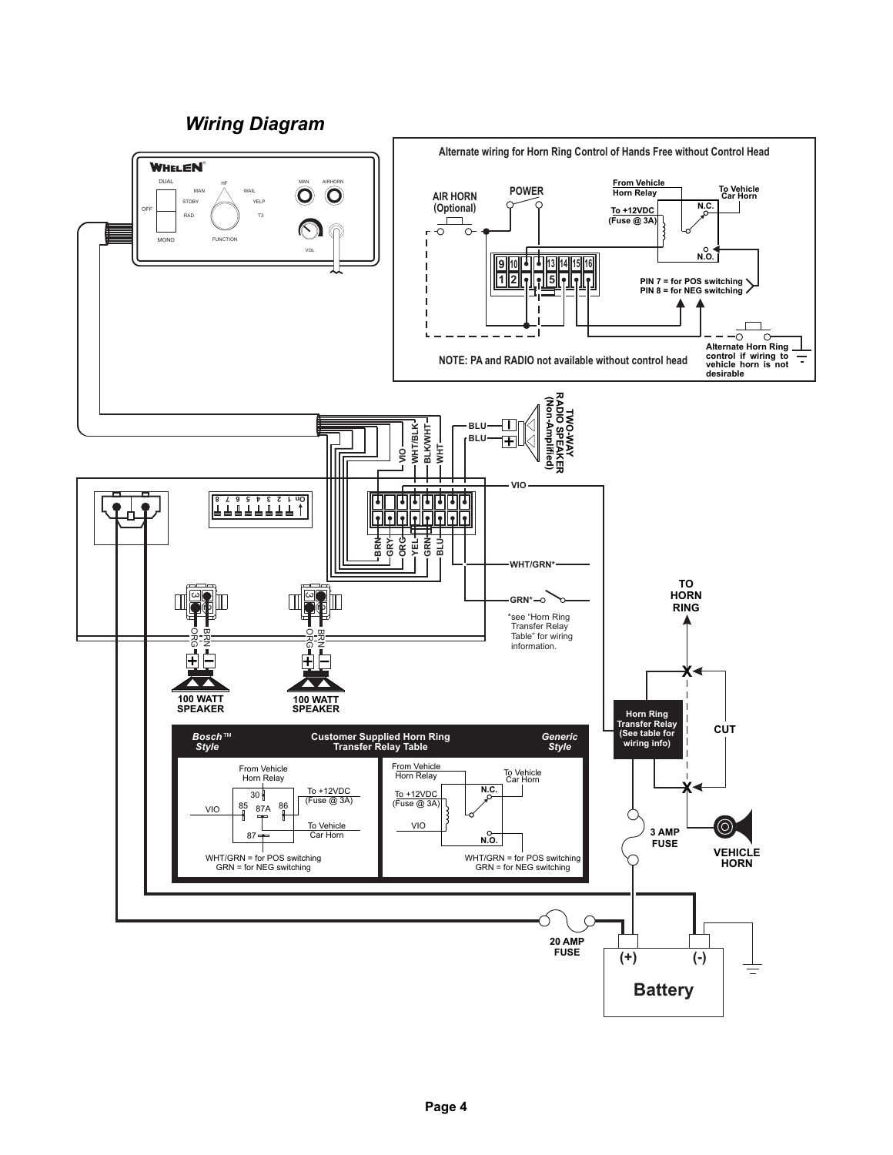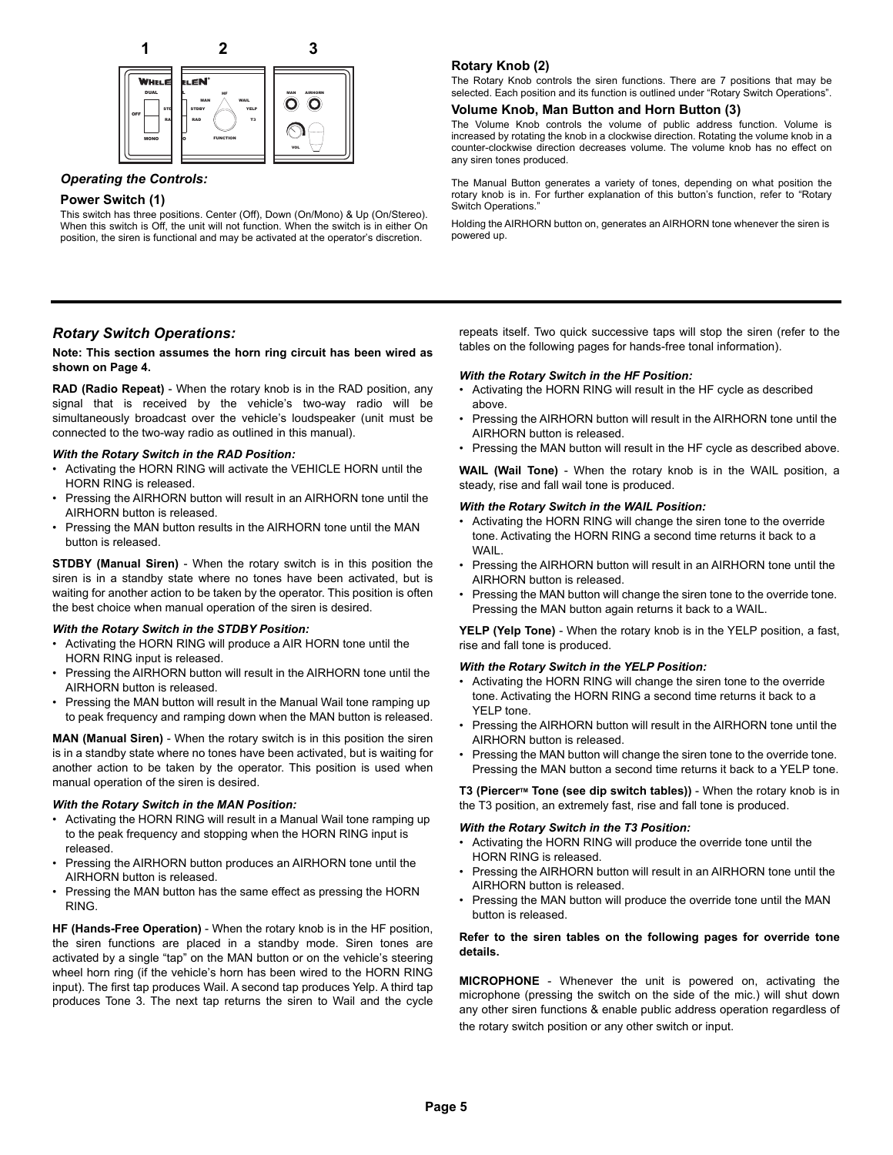

# *Operating the Controls:*

# **Power Switch (1)**

This switch has three positions. Center (Off), Down (On/Mono) & Up (On/Stereo). When this switch is Off, the unit will not function. When the switch is in either On position, the siren is functional and may be activated at the operator's discretion.

# **Rotary Knob (2)**

The Rotary Knob controls the siren functions. There are 7 positions that may be selected. Each position and its function is outlined under "Rotary Switch Operations".

# **Volume Knob, Man Button and Horn Button (3)**

The Volume Knob controls the volume of public address function. Volume is increased by rotating the knob in a clockwise direction. Rotating the volume knob in a counter-clockwise direction decreases volume. The volume knob has no effect on any siren tones produced.

The Manual Button generates a variety of tones, depending on what position the rotary knob is in. For further explanation of this button's function, refer to "Rotary Switch Operations."

Holding the AIRHORN button on, generates an AIRHORN tone whenever the siren is powered up.

# *Rotary Switch Operations:*

# **Note: This section assumes the horn ring circuit has been wired as shown on Page 4.**

**RAD (Radio Repeat)** - When the rotary knob is in the RAD position, any signal that is received by the vehicle's two-way radio will be simultaneously broadcast over the vehicle's loudspeaker (unit must be connected to the two-way radio as outlined in this manual).

### *With the Rotary Switch in the RAD Position:*

- Activating the HORN RING will activate the VEHICLE HORN until the HORN RING is released.
- Pressing the AIRHORN button will result in an AIRHORN tone until the AIRHORN button is released.
- Pressing the MAN button results in the AIRHORN tone until the MAN button is released.

**STDBY (Manual Siren)** - When the rotary switch is in this position the siren is in a standby state where no tones have been activated, but is waiting for another action to be taken by the operator. This position is often the best choice when manual operation of the siren is desired.

### *With the Rotary Switch in the STDBY Position:*

- Activating the HORN RING will produce a AIR HORN tone until the HORN RING input is released.
- Pressing the AIRHORN button will result in the AIRHORN tone until the AIRHORN button is released.
- Pressing the MAN button will result in the Manual Wail tone ramping up to peak frequency and ramping down when the MAN button is released.

**MAN (Manual Siren)** - When the rotary switch is in this position the siren is in a standby state where no tones have been activated, but is waiting for another action to be taken by the operator. This position is used when manual operation of the siren is desired.

### *With the Rotary Switch in the MAN Position:*

- Activating the HORN RING will result in a Manual Wail tone ramping up to the peak frequency and stopping when the HORN RING input is released.
- Pressing the AIRHORN button produces an AIRHORN tone until the AIRHORN button is released.
- Pressing the MAN button has the same effect as pressing the HORN RING.

**HF (Hands-Free Operation)** - When the rotary knob is in the HF position, the siren functions are placed in a standby mode. Siren tones are activated by a single "tap" on the MAN button or on the vehicle's steering wheel horn ring (if the vehicle's horn has been wired to the HORN RING input). The first tap produces Wail. A second tap produces Yelp. A third tap produces Tone 3. The next tap returns the siren to Wail and the cycle

repeats itself. Two quick successive taps will stop the siren (refer to the tables on the following pages for hands-free tonal information).

## *With the Rotary Switch in the HF Position:*

- Activating the HORN RING will result in the HF cycle as described above.
- Pressing the AIRHORN button will result in the AIRHORN tone until the AIRHORN button is released.
- Pressing the MAN button will result in the HF cycle as described above.

**WAIL (Wail Tone)** - When the rotary knob is in the WAIL position, a steady, rise and fall wail tone is produced.

#### *With the Rotary Switch in the WAIL Position:*

- Activating the HORN RING will change the siren tone to the override tone. Activating the HORN RING a second time returns it back to a **WAIL**
- Pressing the AIRHORN button will result in an AIRHORN tone until the AIRHORN button is released.
- Pressing the MAN button will change the siren tone to the override tone. Pressing the MAN button again returns it back to a WAIL.

**YELP (Yelp Tone)** - When the rotary knob is in the YELP position, a fast, rise and fall tone is produced.

### *With the Rotary Switch in the YELP Position:*

- Activating the HORN RING will change the siren tone to the override tone. Activating the HORN RING a second time returns it back to a YELP tone.
- Pressing the AIRHORN button will result in the AIRHORN tone until the AIRHORN button is released.
- Pressing the MAN button will change the siren tone to the override tone. Pressing the MAN button a second time returns it back to a YELP tone.

T3 (Piercer<sup>™</sup> Tone (see dip switch tables)) - When the rotary knob is in the T3 position, an extremely fast, rise and fall tone is produced.

## *With the Rotary Switch in the T3 Position:*

- Activating the HORN RING will produce the override tone until the HORN RING is released.
- Pressing the AIRHORN button will result in an AIRHORN tone until the AIRHORN button is released.
- Pressing the MAN button will produce the override tone until the MAN button is released.

## **Refer to the siren tables on the following pages for override tone details.**

**MICROPHONE** - Whenever the unit is powered on, activating the microphone (pressing the switch on the side of the mic.) will shut down any other siren functions & enable public address operation regardless of the rotary switch position or any other switch or input.